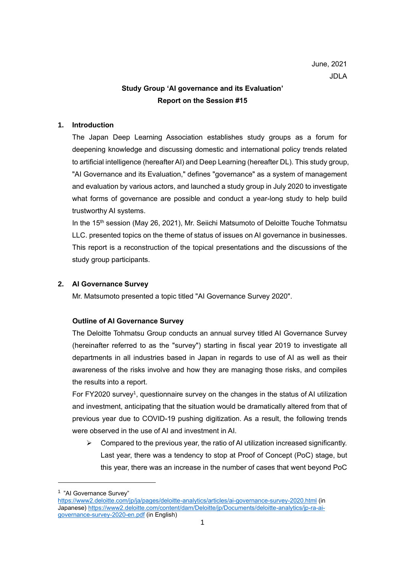# **Study Group 'AI governance and its Evaluation' Report on the Session #15**

# **1. Introduction**

The Japan Deep Learning Association establishes study groups as a forum for deepening knowledge and discussing domestic and international policy trends related to artificial intelligence (hereafter AI) and Deep Learning (hereafter DL). This study group, "AI Governance and its Evaluation," defines "governance" as a system of management and evaluation by various actors, and launched a study group in July 2020 to investigate what forms of governance are possible and conduct a year-long study to help build trustworthy AI systems.

In the 15<sup>th</sup> session (May 26, 2021), Mr. Seiichi Matsumoto of Deloitte Touche Tohmatsu LLC. presented topics on the theme of status of issues on AI governance in businesses. This report is a reconstruction of the topical presentations and the discussions of the study group participants.

## **2. AI Governance Survey**

Mr. Matsumoto presented a topic titled "AI Governance Survey 2020".

# **Outline of AI Governance Survey**

The Deloitte Tohmatsu Group conducts an annual survey titled AI Governance Survey (hereinafter referred to as the "survey") starting in fiscal year 2019 to investigate all departments in all industries based in Japan in regards to use of AI as well as their awareness of the risks involve and how they are managing those risks, and compiles the results into a report.

For FY2020 survey<sup>1</sup>, questionnaire survey on the changes in the status of AI utilization and investment, anticipating that the situation would be dramatically altered from that of previous year due to COVID-19 pushing digitization. As a result, the following trends were observed in the use of AI and investment in AI.

 $\triangleright$  Compared to the previous year, the ratio of AI utilization increased significantly. Last year, there was a tendency to stop at Proof of Concept (PoC) stage, but this year, there was an increase in the number of cases that went beyond PoC

<sup>&</sup>lt;sup>1</sup> "Al Governance Survey"

<https://www2.deloitte.com/jp/ja/pages/deloitte-analytics/articles/ai-governance-survey-2020.html> (in Japanese[\) https://www2.deloitte.com/content/dam/Deloitte/jp/Documents/deloitte-analytics/jp-ra-ai](https://www2.deloitte.com/content/dam/Deloitte/jp/Documents/deloitte-analytics/jp-ra-ai-governance-survey-2020-en.pdf)[governance-survey-2020-en.pdf](https://www2.deloitte.com/content/dam/Deloitte/jp/Documents/deloitte-analytics/jp-ra-ai-governance-survey-2020-en.pdf) (in English)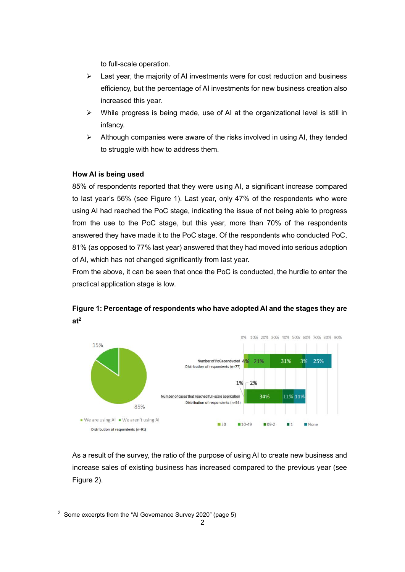to full-scale operation.

- $\triangleright$  Last year, the majority of AI investments were for cost reduction and business efficiency, but the percentage of AI investments for new business creation also increased this year.
- $\triangleright$  While progress is being made, use of AI at the organizational level is still in infancy.
- ➢ Although companies were aware of the risks involved in using AI, they tended to struggle with how to address them.

# **How AI is being used**

85% of respondents reported that they were using AI, a significant increase compared to last year's 56% (see Figure 1). Last year, only 47% of the respondents who were using AI had reached the PoC stage, indicating the issue of not being able to progress from the use to the PoC stage, but this year, more than 70% of the respondents answered they have made it to the PoC stage. Of the respondents who conducted PoC, 81% (as opposed to 77% last year) answered that they had moved into serious adoption of AI, which has not changed significantly from last year.

From the above, it can be seen that once the PoC is conducted, the hurdle to enter the practical application stage is low.



**Figure 1: Percentage of respondents who have adopted AI and the stages they are at<sup>2</sup>**

As a result of the survey, the ratio of the purpose of using AI to create new business and increase sales of existing business has increased compared to the previous year (see Figure 2).

<sup>2</sup> Some excerpts from the "AI Governance Survey 2020" (page 5)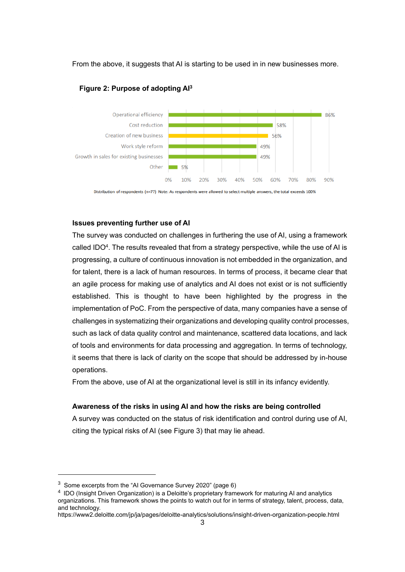From the above, it suggests that AI is starting to be used in in new businesses more.



### **Figure 2: Purpose of adopting AI<sup>3</sup>**

Distribution of respondents (n=77) Note: As respondents were allowed to select multiple answers, the total exceeds 100%

#### **Issues preventing further use of AI**

The survey was conducted on challenges in furthering the use of AI, using a framework called IDO<sup>4</sup>. The results revealed that from a strategy perspective, while the use of AI is progressing, a culture of continuous innovation is not embedded in the organization, and for talent, there is a lack of human resources. In terms of process, it became clear that an agile process for making use of analytics and AI does not exist or is not sufficiently established. This is thought to have been highlighted by the progress in the implementation of PoC. From the perspective of data, many companies have a sense of challenges in systematizing their organizations and developing quality control processes, such as lack of data quality control and maintenance, scattered data locations, and lack of tools and environments for data processing and aggregation. In terms of technology, it seems that there is lack of clarity on the scope that should be addressed by in-house operations.

From the above, use of AI at the organizational level is still in its infancy evidently.

#### **Awareness of the risks in using AI and how the risks are being controlled**

A survey was conducted on the status of risk identification and control during use of AI, citing the typical risks of AI (see Figure 3) that may lie ahead.

<sup>3</sup> Some excerpts from the "AI Governance Survey 2020" (page 6)

<sup>&</sup>lt;sup>4</sup> IDO (Insight Driven Organization) is a Deloitte's proprietary framework for maturing AI and analytics organizations. This framework shows the points to watch out for in terms of strategy, talent, process, data, and technology.

https://www2.deloitte.com/jp/ja/pages/deloitte-analytics/solutions/insight-driven-organization-people.html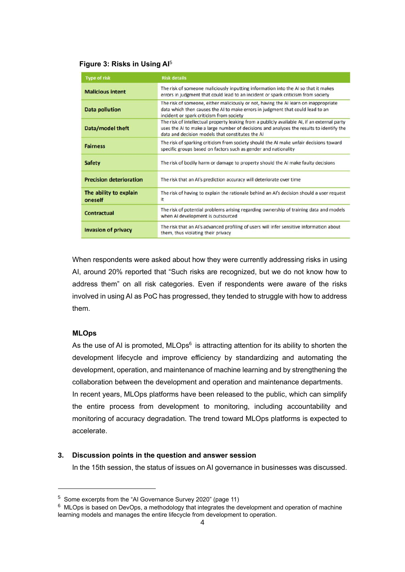### **Figure 3: Risks in Using AI**<sup>5</sup>

| <b>Type of risk</b>               | <b>Risk details</b>                                                                                                                                                                                                                          |
|-----------------------------------|----------------------------------------------------------------------------------------------------------------------------------------------------------------------------------------------------------------------------------------------|
| <b>Malicious intent</b>           | The risk of someone maliciously inputting information into the AI so that it makes<br>errors in judgment that could lead to an incident or spark criticism from society                                                                      |
| <b>Data pollution</b>             | The risk of someone, either maliciously or not, having the AI learn on inappropriate<br>data which then causes the AI to make errors in judgment that could lead to an<br>incident or spark criticism from society                           |
| Data/model theft                  | The risk of intellectual property leaking from a publicly available AI, if an external party<br>uses the AI to make a large number of decisions and analyzes the results to identify the<br>data and decision models that constitutes the AI |
| <b>Fairness</b>                   | The risk of sparking criticism from society should the AI make unfair decisions toward<br>specific groups based on factors such as gender and nationality                                                                                    |
| <b>Safety</b>                     | The risk of bodily harm or damage to property should the AI make faulty decisions                                                                                                                                                            |
| <b>Precision deterioration</b>    | The risk that an AI's prediction accuracy will deteriorate over time                                                                                                                                                                         |
| The ability to explain<br>oneself | The risk of having to explain the rationale behind an AI's decision should a user request<br>it                                                                                                                                              |
| <b>Contractual</b>                | The risk of potential problems arising regarding ownership of training data and models<br>when AI development is outsourced                                                                                                                  |
| <b>Invasion of privacy</b>        | The risk that an AI's advanced profiling of users will infer sensitive information about<br>them, thus violating their privacy                                                                                                               |

When respondents were asked about how they were currently addressing risks in using AI, around 20% reported that "Such risks are recognized, but we do not know how to address them" on all risk categories. Even if respondents were aware of the risks involved in using AI as PoC has progressed, they tended to struggle with how to address them.

#### **MLOps**

As the use of AI is promoted, MLOps $6$  is attracting attention for its ability to shorten the development lifecycle and improve efficiency by standardizing and automating the development, operation, and maintenance of machine learning and by strengthening the collaboration between the development and operation and maintenance departments. In recent years, MLOps platforms have been released to the public, which can simplify the entire process from development to monitoring, including accountability and monitoring of accuracy degradation. The trend toward MLOps platforms is expected to accelerate.

#### **3. Discussion points in the question and answer session**

In the 15th session, the status of issues on AI governance in businesses was discussed.

<sup>5</sup> Some excerpts from the "AI Governance Survey 2020" (page 11)

 $6$  MLOps is based on DevOps, a methodology that integrates the development and operation of machine learning models and manages the entire lifecycle from development to operation.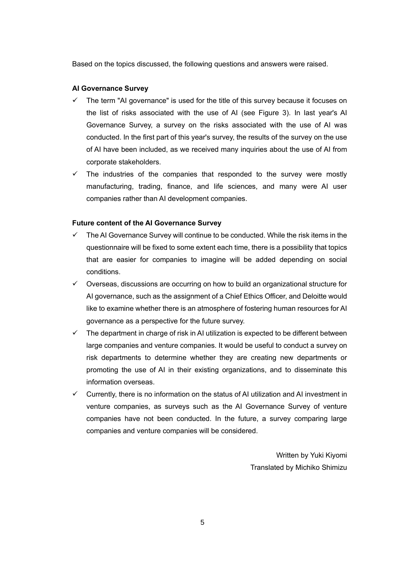Based on the topics discussed, the following questions and answers were raised.

### **AI Governance Survey**

- The term "AI governance" is used for the title of this survey because it focuses on the list of risks associated with the use of AI (see Figure 3). In last year's AI Governance Survey, a survey on the risks associated with the use of AI was conducted. In the first part of this year's survey, the results of the survey on the use of AI have been included, as we received many inquiries about the use of AI from corporate stakeholders.
- The industries of the companies that responded to the survey were mostly manufacturing, trading, finance, and life sciences, and many were AI user companies rather than AI development companies.

#### **Future content of the AI Governance Survey**

- $\checkmark$  The AI Governance Survey will continue to be conducted. While the risk items in the questionnaire will be fixed to some extent each time, there is a possibility that topics that are easier for companies to imagine will be added depending on social conditions.
- ✓ Overseas, discussions are occurring on how to build an organizational structure for AI governance, such as the assignment of a Chief Ethics Officer, and Deloitte would like to examine whether there is an atmosphere of fostering human resources for AI governance as a perspective for the future survey.
- $\checkmark$  The department in charge of risk in AI utilization is expected to be different between large companies and venture companies. It would be useful to conduct a survey on risk departments to determine whether they are creating new departments or promoting the use of AI in their existing organizations, and to disseminate this information overseas.
- $\checkmark$  Currently, there is no information on the status of AI utilization and AI investment in venture companies, as surveys such as the AI Governance Survey of venture companies have not been conducted. In the future, a survey comparing large companies and venture companies will be considered.

Written by Yuki Kiyomi Translated by Michiko Shimizu